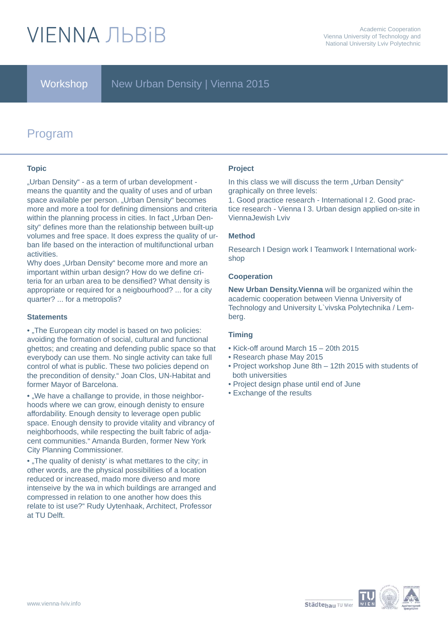# **VIFNNA JIBRIB**

### Workshop | New Urban Density | Vienna 2015

# Program

#### **Topic**

"Urban Density" - as a term of urban development means the quantity and the quality of uses and of urban space available per person. "Urban Density" becomes more and more a tool for defining dimensions and criteria within the planning process in cities. In fact "Urban Density" defines more than the relationship between built-up volumes and free space. It does express the quality of urban life based on the interaction of multifunctional urban activities.

Why does "Urban Density" become more and more an important within urban design? How do we define criteria for an urban area to be densified? What density is appropriate or required for a neigbourhood? ... for a city quarter? ... for a metropolis?

#### **Statements**

• "The European city model is based on two policies: avoiding the formation of social, cultural and functional ghettos; and creating and defending public space so that everybody can use them. No single activity can take full control of what is public. These two policies depend on the precondition of density." Joan Clos, UN-Habitat and former Mayor of Barcelona.

• "We have a challange to provide, in those neighborhoods where we can grow, einough denisty to ensure affordability. Enough density to leverage open public space. Enough density to provide vitality and vibrancy of neighborhoods, while respecting the built fabric of adjacent communities." Amanda Burden, former New York City Planning Commissioner.

• "The quality of denisty' is what mettares to the city; in other words, are the physical possibilities of a location reduced or increased, mado more diverso and more intenseive by the wa in which buildings are arranged and compressed in relation to one another how does this relate to ist use?" Rudy Uytenhaak, Architect, Professor at TU Delft.

#### **Project**

In this class we will discuss the term .. Urban Density" graphically on three levels:

1. Good practice research - International I 2. Good practice research - Vienna I 3. Urban design applied on-site in ViennaJewish Lviv

#### **Method**

Research I Design work I Teamwork I International workshop

#### **Cooperation**

**New Urban Density.Vienna** will be organized wihin the academic cooperation between Vienna University of Technology and University L`vivska Polytechnika / Lemberg.

#### **Timing**

- Kick-off around March 15 20th 2015
- Research phase May 2015
- Project workshop June 8th 12th 2015 with students of both universities
- Project design phase until end of June
- Exchange of the results

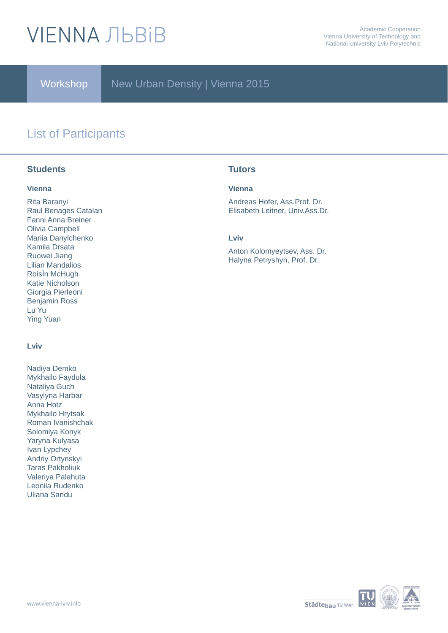# **VIENNA ЛЬВІВ**

Workshop

New Urban Density | Vienna 2015

## List of Participants

### **Students** Tutors

#### **Vienna**

Rita Baranyi Raul Benages Catalan Fanni Anna Breiner Olivia Campbell Mariia Danylchenko Kamila Drsata Ruowei Jiang Lilian Mandalios RoisÌn McHugh Katie Nicholson Giorgia Pierleoni Benjamin Ross Lu Yu Ying Yuan

#### **Lviv**

Nadiya Demko Mykhailo Faydula Nataliya Guch Vasylyna Harbar Anna Hotz Mykhailo Hrytsak Roman Ivanishchak Solomiya Konyk Yaryna Kulyasa Ivan Lypchey Andriy Ortynskyi Taras Pakholiuk Valeriya Palahuta Leonila Rudenko Uliana Sandu

#### **Vienna**

Andreas Hofer, Ass.Prof. Dr. Elisabeth Leitner, Univ.Ass.Dr.

#### **Lviv**

Anton Kolomyeytsev, Ass. Dr. Halyna Petryshyn, Prof. Dr.